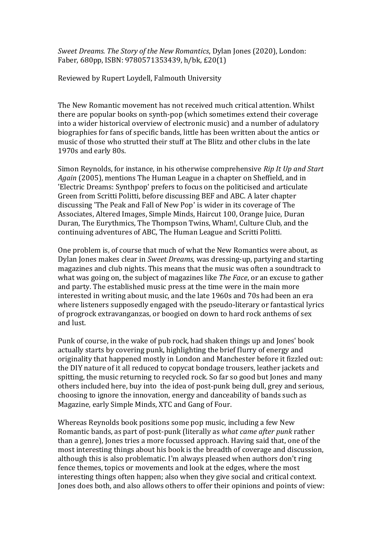*Sweet Dreams. The Story of the New Romantics*, Dylan Jones (2020), London: Faber, 680pp, ISBN: 9780571353439, h/bk, £20(1)

Reviewed by Rupert Loydell, Falmouth University

The New Romantic movement has not received much critical attention. Whilst there are popular books on synth-pop (which sometimes extend their coverage into a wider historical overview of electronic music) and a number of adulatory biographies for fans of specific bands, little has been written about the antics or music of those who strutted their stuff at The Blitz and other clubs in the late 1970s and early 80s.

Simon Reynolds, for instance, in his otherwise comprehensive *Rip It Up and Start Again* (2005), mentions The Human League in a chapter on Sheffield, and in 'Electric Dreams: Synthpop' prefers to focus on the politicised and articulate Green from Scritti Politti, before discussing BEF and ABC. A later chapter discussing 'The Peak and Fall of New Pop' is wider in its coverage of The Associates, Altered Images, Simple Minds, Haircut 100, Orange Juice, Duran Duran, The Eurythmics, The Thompson Twins, Wham!, Culture Club, and the continuing adventures of ABC, The Human League and Scritti Politti.

One problem is, of course that much of what the New Romantics were about, as Dylan Jones makes clear in *Sweet Dreams,* was dressing-up, partying and starting magazines and club nights. This means that the music was often a soundtrack to what was going on, the subject of magazines like *The Face*, or an excuse to gather and party. The established music press at the time were in the main more interested in writing about music, and the late 1960s and 70s had been an era where listeners supposedly engaged with the pseudo-literary or fantastical lyrics of progrock extravanganzas, or boogied on down to hard rock anthems of sex and lust.

Punk of course, in the wake of pub rock, had shaken things up and Jones' book actually starts by covering punk, highlighting the brief flurry of energy and originality that happened mostly in London and Manchester before it fizzled out: the DIY nature of it all reduced to copycat bondage trousers, leather jackets and spitting, the music returning to recycled rock. So far so good but Jones and many others included here, buy into the idea of post-punk being dull, grey and serious, choosing to ignore the innovation, energy and danceability of bands such as Magazine, early Simple Minds, XTC and Gang of Four.

Whereas Reynolds book positions some pop music, including a few New Romantic bands, as part of post-punk (literally as *what came after punk* rather than a genre), Jones tries a more focussed approach. Having said that, one of the most interesting things about his book is the breadth of coverage and discussion, although this is also problematic. I'm always pleased when authors don't ring fence themes, topics or movements and look at the edges, where the most interesting things often happen; also when they give social and critical context. Jones does both, and also allows others to offer their opinions and points of view: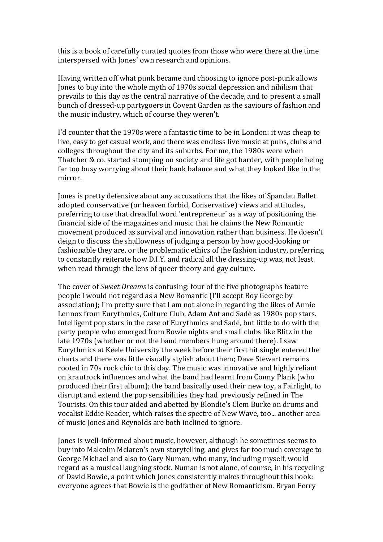this is a book of carefully curated quotes from those who were there at the time interspersed with Jones' own research and opinions.

Having written off what punk became and choosing to ignore post-punk allows Jones to buy into the whole myth of 1970s social depression and nihilism that prevails to this day as the central narrative of the decade, and to present a small bunch of dressed-up partygoers in Covent Garden as the saviours of fashion and the music industry, which of course they weren't.

I'd counter that the 1970s were a fantastic time to be in London: it was cheap to live, easy to get casual work, and there was endless live music at pubs, clubs and colleges throughout the city and its suburbs. For me, the 1980s were when Thatcher & co. started stomping on society and life got harder, with people being far too busy worrying about their bank balance and what they looked like in the mirror.

Jones is pretty defensive about any accusations that the likes of Spandau Ballet adopted conservative (or heaven forbid, Conservative) views and attitudes, preferring to use that dreadful word 'entrepreneur' as a way of positioning the financial side of the magazines and music that he claims the New Romantic movement produced as survival and innovation rather than business. He doesn't deign to discuss the shallowness of judging a person by how good-looking or fashionable they are, or the problematic ethics of the fashion industry, preferring to constantly reiterate how D.I.Y. and radical all the dressing-up was, not least when read through the lens of queer theory and gay culture.

The cover of *Sweet Dreams* is confusing: four of the five photographs feature people I would not regard as a New Romantic (I'll accept Boy George by association); I'm pretty sure that I am not alone in regarding the likes of Annie Lennox from Eurythmics, Culture Club, Adam Ant and Sadé as 1980s pop stars. Intelligent pop stars in the case of Eurythmics and Sadé, but little to do with the party people who emerged from Bowie nights and small clubs like Blitz in the late 1970s (whether or not the band members hung around there). I saw Eurythmics at Keele University the week before their first hit single entered the charts and there was little visually stylish about them; Dave Stewart remains rooted in 70s rock chic to this day. The music was innovative and highly reliant on krautrock influences and what the band had learnt from Conny Plank (who produced their first album); the band basically used their new toy, a Fairlight, to disrupt and extend the pop sensibilities they had previously refined in The Tourists. On this tour aided and abetted by Blondie's Clem Burke on drums and vocalist Eddie Reader, which raises the spectre of New Wave, too... another area of music Jones and Reynolds are both inclined to ignore.

Jones is well-informed about music, however, although he sometimes seems to buy into Malcolm Mclaren's own storytelling, and gives far too much coverage to George Michael and also to Gary Numan, who many, including myself, would regard as a musical laughing stock. Numan is not alone, of course, in his recycling of David Bowie, a point which Jones consistently makes throughout this book: everyone agrees that Bowie is the godfather of New Romanticism. Bryan Ferry